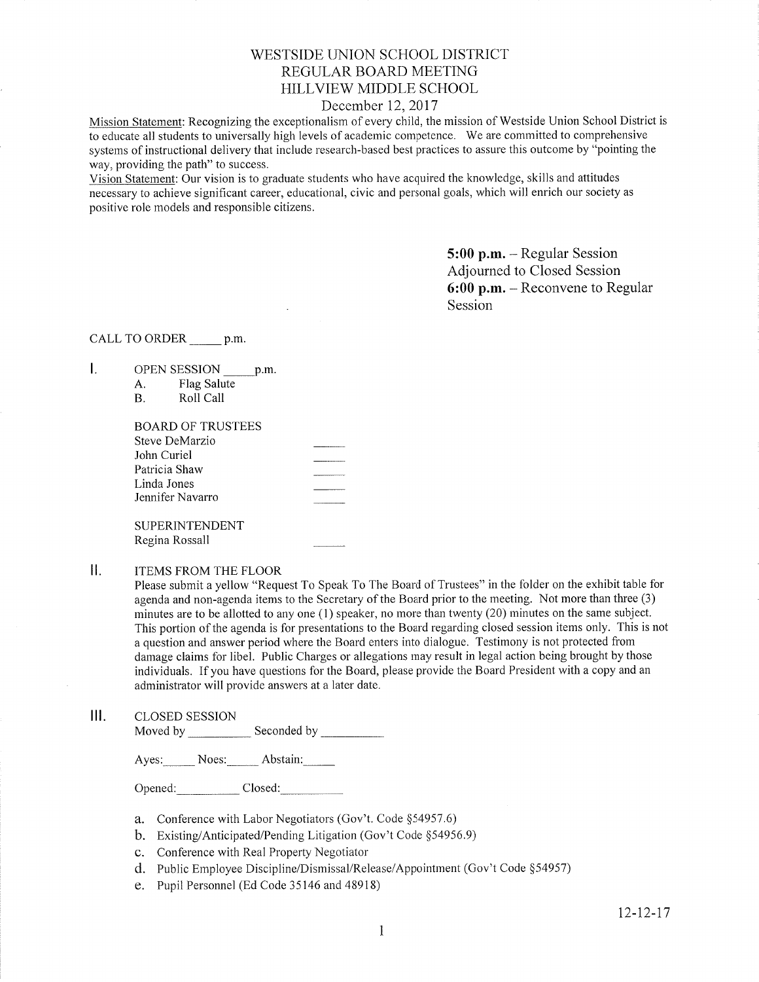## WESTSIDE UNiON SCHOOL DISTRICT REGULAR BOARD MEETING FIILLVIEW MIDDLE SCHOOL

## December 12,2017

Mission Statement: Recognizing the exceptionalism of every child, the mission of Westside Union School District is to educate all students to universally high levels of academic competence. We are committed to comprehensive systems of instructional delivery that include research-based best practices to assure this outcome by "pointing the way, providing the path" to success.

Vision Statement: Our vision is to graduate students who have acquired the knowledge, skills and attitudes necessary to achieve significant career, educational, civic and personal goals, which will enrich our society as positive role models and responsible citizens.

> 5:00 p.m. - Regular Session Adjourned to Closed Session 6:00 p.m. - Reconvene to Regular Session

### CALL TO ORDER \_\_\_\_\_\_ p.m.

- $\mathsf{L}$ OPEN SESSION \_\_\_\_\_\_ p.m.
	- A. Flag Salute B. Roll Call

| BOARD OF TRUSTEES     |                |
|-----------------------|----------------|
| Steve DeMarzio        |                |
| John Curiel           |                |
| Patricia Shaw         |                |
| Linda Jones           |                |
| Jennifer Navarro      | -------------- |
|                       |                |
| <b>SUPERINTENDENT</b> |                |
| Regina Rossall        |                |

#### $II.$ ITEMS FROM THE FLOOR

Please submit a yellow "Request To Speak To The Board of Trustees" in the folder on the exhibit table for agenda and non-agenda items to the Secretary of the Board prior to the meeting. Not more than three (3) minutes are to be allotted to any one (1) speaker, no more than twenty (20) minutes on the same subject. This portion of the agenda is for presentations to the Board regarding closed session items only. This is not a question and answer period where the Board enters into dialogue. Testimony is not protected from damage claims for libel. Public Charges or allegations may result in legal action being brought by those individuals. If you have questions for the Board, please provide the Board President with a copy and an administrator will provide answers at a later date.

III. CLoSED SESSION Moved by Seconded by

Ayes: Noes: Abstain:

Opened: Closed:

- a. Conference with Labor Negotiators (Gov't. Code \$54957.6)
- b. Existing/Anticipated/Pending Litigation (Gov't Code \$54956.9)
- c. Conference with Real Property Negotiator
- d. Public Employee Discipline/Dismissal/Release/Appointment (Gov't Code §54957)
- e. Pupil Personnel (Ed Code 35146 and 48918)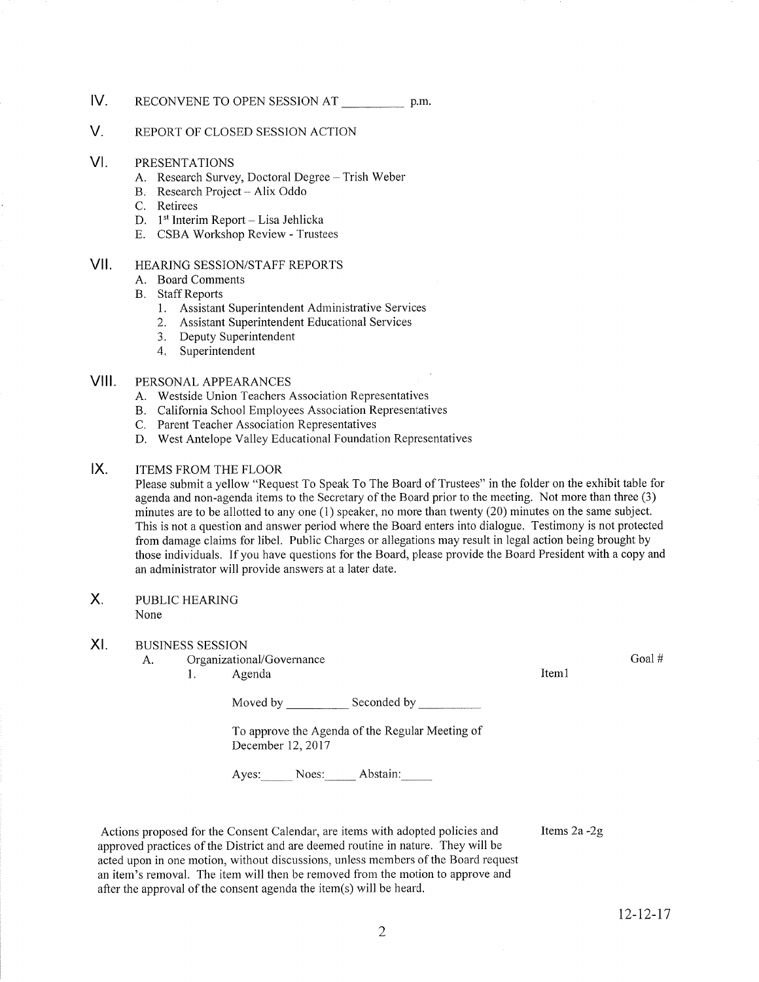- IV RECONVENE TO OPEN SESSION AT p.m.
- V. REPORT OF CLOSED SESSION ACTION
- VI PRESENTATIONS
	- A. Research Survey, Doctoral Degree Trish Weber B. Research Project Alix Oddo<br>C. Retirees
	-
	-
	- D. 1<sup>st</sup> Interim Report Lisa Jehlicka<br>E. CSBA Workshop Review Trustees
	-
- vil HEARING SESSION/STAFF REPORTS
	- A. Board Comments
	- **B.** Staff Reports
		- 1. Assistant Superintendent Administrative Services
		- 2. Assistant Superintendent Educational Services
		- 3. Deputy Superintendent
		- 4. Superintendent

#### vill PERSONAL APPEARANCES

- A. Westside Union Teachers Association Representatives
- B. California School Employees Association Representatives
- C. Parent Teacher Association Representatives
- D. West Antelope Valley Educational Foundation Representatives

#### $IX.$ ITEMS FROM THE FLOOR

Please submit a yellow "Request To Speak To The Board of Trustees" in the folder on the exhibit table for agenda and non-agenda items to the Secretary of the Board prior to the meeting. Not more than three (3) minutes are to be allotted to any one (1) speaker, no more than twenty (20) minutes on the same subject. This is not a question and answer period where the Board enters into dialogue. Testimony is not protected from damage claims for libel. Public Charges or allegations may result in legal action being brought by those individuals. If you have questions for the Board, please provide the Board President with a copy and an administrator will provide answers at a later date.

#### $X_{\cdot}$ PUBLIC HEARING None

#### XI BUSINESS SESSION

- A. Organizational/Governance Goal # Goal # Goal # Goal # Goal # Goal # Goal # Goal # Goal # Goal # Goal # Goal # Goal # Goal # Goal # Goal # Goal # Goal # Goal # Goal # Goal # Goal # Goal # Goal # Goal # Goal # Goal # Goal
	-

Moved by Seconded by Seconded by Seconded by Seconded by Seconded by Seconded by Seconded by Seconded by Seconded by Seconded by Seconded by Seconded by Seconded by Seconded by Seconded by Seconded by Seconded by Seconded

To approve the Agenda of the Regular Meeting of December 12, 2017

Ayes: Noes: Abstain:

Actions proposed for the Consent Calendar, are items with adopted policies and approved practices of the District and are deemed routine in nature. They will be acted upon in one motion, without discussions, unless members of the Board request an item's removal. The item will then be removed from the rnotion to approve and after the approval of the consent agenda the itern(s) will be heard.

Items 2a -2g

12-12-t7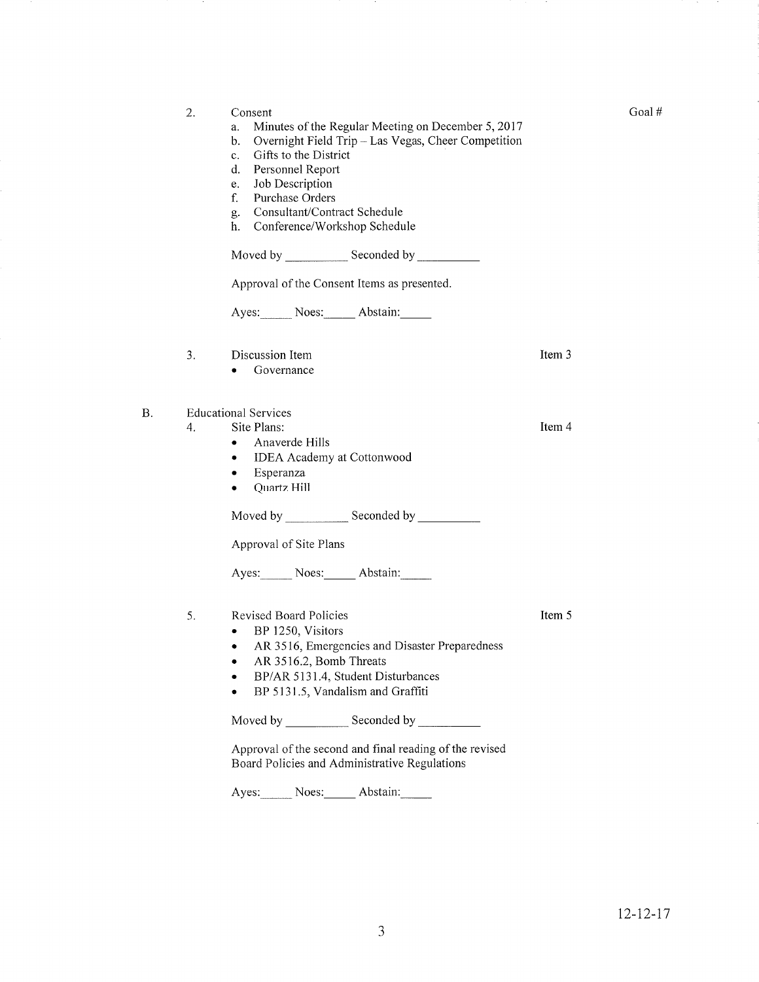|    | 2. | Consent<br>Minutes of the Regular Meeting on December 5, 2017<br>a.<br>Overnight Field Trip - Las Vegas, Cheer Competition<br>b.<br>Gifts to the District<br>c.<br>Personnel Report<br>d.<br>Job Description<br>e.<br>f.<br>Purchase Orders<br>Consultant/Contract Schedule<br>g.<br>Conference/Workshop Schedule<br>h. |        |
|----|----|-------------------------------------------------------------------------------------------------------------------------------------------------------------------------------------------------------------------------------------------------------------------------------------------------------------------------|--------|
|    |    | Approval of the Consent Items as presented.                                                                                                                                                                                                                                                                             |        |
|    |    | Ayes: Noes: Abstain:                                                                                                                                                                                                                                                                                                    |        |
|    | 3. | Discussion Item<br>Governance                                                                                                                                                                                                                                                                                           | Item 3 |
| Β. | 4. | <b>Educational Services</b><br>Site Plans:<br>Anaverde Hills<br>$\bullet$<br>IDEA Academy at Cottonwood<br>٠<br>Esperanza<br>٠<br>Quartz Hill<br>$\bullet$                                                                                                                                                              | Item 4 |
|    |    | Approval of Site Plans                                                                                                                                                                                                                                                                                                  |        |
|    |    | Ayes: Noes: Abstain:                                                                                                                                                                                                                                                                                                    |        |
|    | 5. | <b>Revised Board Policies</b><br>BP 1250, Visitors<br>٠<br>AR 3516, Emergencies and Disaster Preparedness<br>۰<br>AR 3516.2, Bomb Threats<br>BP/AR 5131.4, Student Disturbances<br>BP 5131.5, Vandalism and Graffiti                                                                                                    | Item 5 |
|    |    |                                                                                                                                                                                                                                                                                                                         |        |
|    |    | Approval of the second and final reading of the revised<br>Board Policies and Administrative Regulations                                                                                                                                                                                                                |        |
|    |    | Ayes: Noes: Abstain:                                                                                                                                                                                                                                                                                                    |        |

Goal#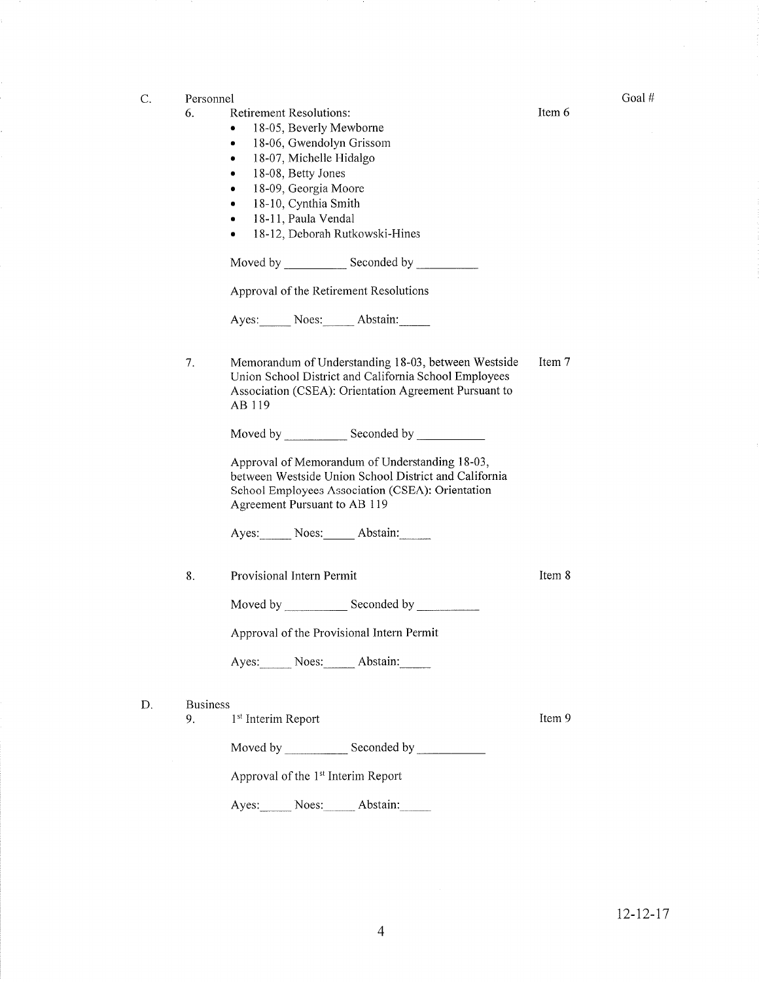| C. | Personnel             |                                                                                                                                                                                                                                                                                                                                                                                                        |        | Goal# |
|----|-----------------------|--------------------------------------------------------------------------------------------------------------------------------------------------------------------------------------------------------------------------------------------------------------------------------------------------------------------------------------------------------------------------------------------------------|--------|-------|
|    | 6.                    | <b>Retirement Resolutions:</b><br>18-05, Beverly Mewborne<br>٠<br>18-06, Gwendolyn Grissom<br>۰<br>18-07, Michelle Hidalgo<br>۰<br>18-08, Betty Jones<br>٠<br>18-09, Georgia Moore<br>۰<br>18-10, Cynthia Smith<br>18-11, Paula Vendal<br>$\bullet$<br>18-12, Deborah Rutkowski-Hines<br>۰<br>Approval of the Retirement Resolutions<br>Ayes: Noes: Abstain:                                           | Item 6 |       |
|    | 7.                    | Memorandum of Understanding 18-03, between Westside<br>Union School District and California School Employees<br>Association (CSEA): Orientation Agreement Pursuant to<br>AB 119<br>Approval of Memorandum of Understanding 18-03,<br>between Westside Union School District and California<br>School Employees Association (CSEA): Orientation<br>Agreement Pursuant to AB 119<br>Ayes: Noes: Abstain: | Item 7 |       |
|    | 8.                    | Provisional Intern Permit<br>Moved by Seconded by<br>Approval of the Provisional Intern Permit<br>Ayes: Noes: Abstain:                                                                                                                                                                                                                                                                                 | Item 8 |       |
| D. | <b>Business</b><br>9. | 1 <sup>st</sup> Interim Report<br>Approval of the 1 <sup>st</sup> Interim Report<br>Ayes: Noes: Abstain:                                                                                                                                                                                                                                                                                               | Item 9 |       |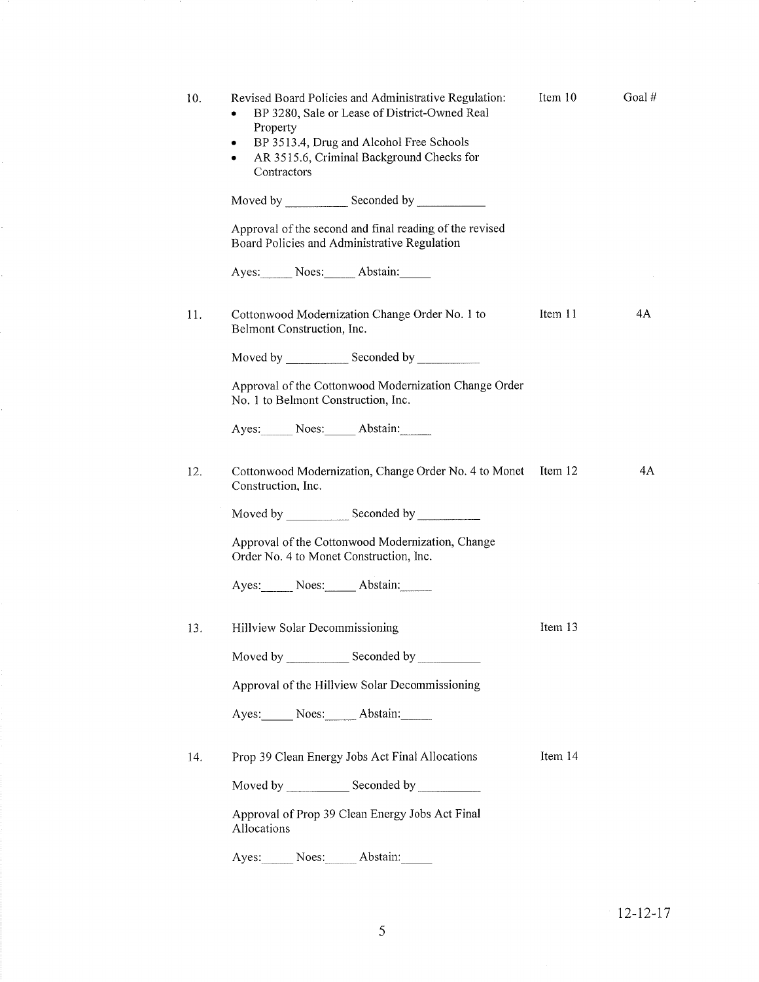| 10. | Revised Board Policies and Administrative Regulation:<br>BP 3280, Sale or Lease of District-Owned Real<br>Property<br>BP 3513.4, Drug and Alcohol Free Schools<br>AR 3515.6, Criminal Background Checks for<br>$\bullet$<br>Contractors | Item 10 | Goal# |
|-----|-----------------------------------------------------------------------------------------------------------------------------------------------------------------------------------------------------------------------------------------|---------|-------|
|     |                                                                                                                                                                                                                                         |         |       |
|     | Approval of the second and final reading of the revised<br>Board Policies and Administrative Regulation                                                                                                                                 |         |       |
|     | Ayes: Noes: Abstain:                                                                                                                                                                                                                    |         |       |
| 11. | Cottonwood Modernization Change Order No. 1 to<br>Belmont Construction, Inc.                                                                                                                                                            | Item 11 | 4A    |
|     |                                                                                                                                                                                                                                         |         |       |
|     | Approval of the Cottonwood Modernization Change Order<br>No. 1 to Belmont Construction, Inc.                                                                                                                                            |         |       |
|     | Ayes: Noes: Abstain:                                                                                                                                                                                                                    |         |       |
| 12. | Cottonwood Modernization, Change Order No. 4 to Monet Item 12<br>Construction, Inc.                                                                                                                                                     |         | 4A    |
|     |                                                                                                                                                                                                                                         |         |       |
|     | Approval of the Cottonwood Modernization, Change<br>Order No. 4 to Monet Construction, Inc.                                                                                                                                             |         |       |
|     | Ayes: Noes: Abstain:                                                                                                                                                                                                                    |         |       |
| 13. | Hillview Solar Decommissioning                                                                                                                                                                                                          | Item 13 |       |
|     | Moved by _________________ Seconded by ________________                                                                                                                                                                                 |         |       |
|     | Approval of the Hillview Solar Decommissioning                                                                                                                                                                                          |         |       |
|     | Ayes: Noes: Abstain:                                                                                                                                                                                                                    |         |       |
| 14. | Prop 39 Clean Energy Jobs Act Final Allocations                                                                                                                                                                                         | Item 14 |       |
|     |                                                                                                                                                                                                                                         |         |       |
|     | Approval of Prop 39 Clean Energy Jobs Act Final<br>Allocations                                                                                                                                                                          |         |       |
|     | Ayes: Noes: Abstain:                                                                                                                                                                                                                    |         |       |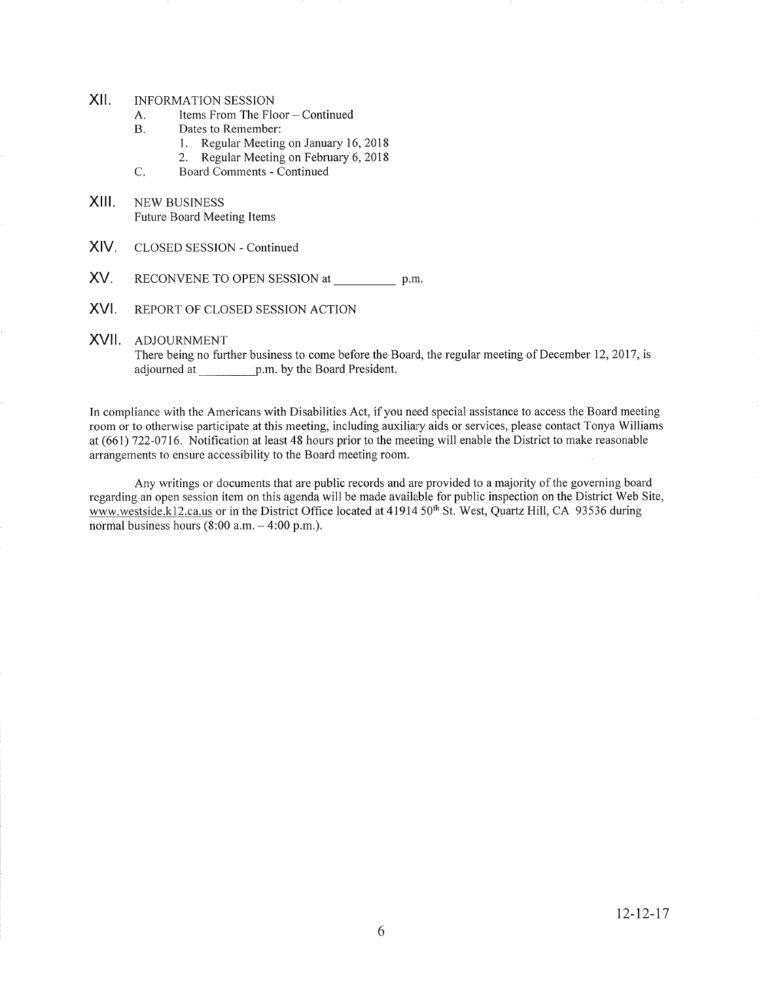- xil INFORMATION SESSION
	- A. Items From The Floor Continued<br>B. Dates to Remember:
	- -
	- 1. Regular Meeting on January 16, 2018<br>2. Regular Meeting on February 6, 2018<br>C. Board Comments Continued
	-
- xill NEW BUSINESS Future Board Meeting ltems
- XIV. CLOSED SESSION - Continued
- XV. RECONVENE TO OPEN SESSION at p.m.
- XVI. REPORT OF CLOSED SESSION ACTION
- XVII ADJOURNMENT

There being no further business to come before the Board, the regular meeting of December 12, 2017, is adjourned at p.m. by the Board President.

In compliance with the Americans with Disabilities Act, if you need special assistance to access the Board meeting room or to otherwise participate at this meeting, including auxiliary aids or services, please contact Tonya Williams at (661) 722-0716. Notification at least 48 hours prior to the meeting will enable the District to make reasonable arrangements to ensure accessibility to the Board meeting room.

Any writings or documents that are public records and are provided to a majority of the goveming board regarding an open session itern on this agenda will be made available for public inspection on the District Web Site, www.westside.k12.ca.us or in the District Office located at 41914 50<sup>th</sup> St. West, Quartz Hill, CA 93536 during normal business hours  $(8:00$  a.m.  $-4:00$  p.m.).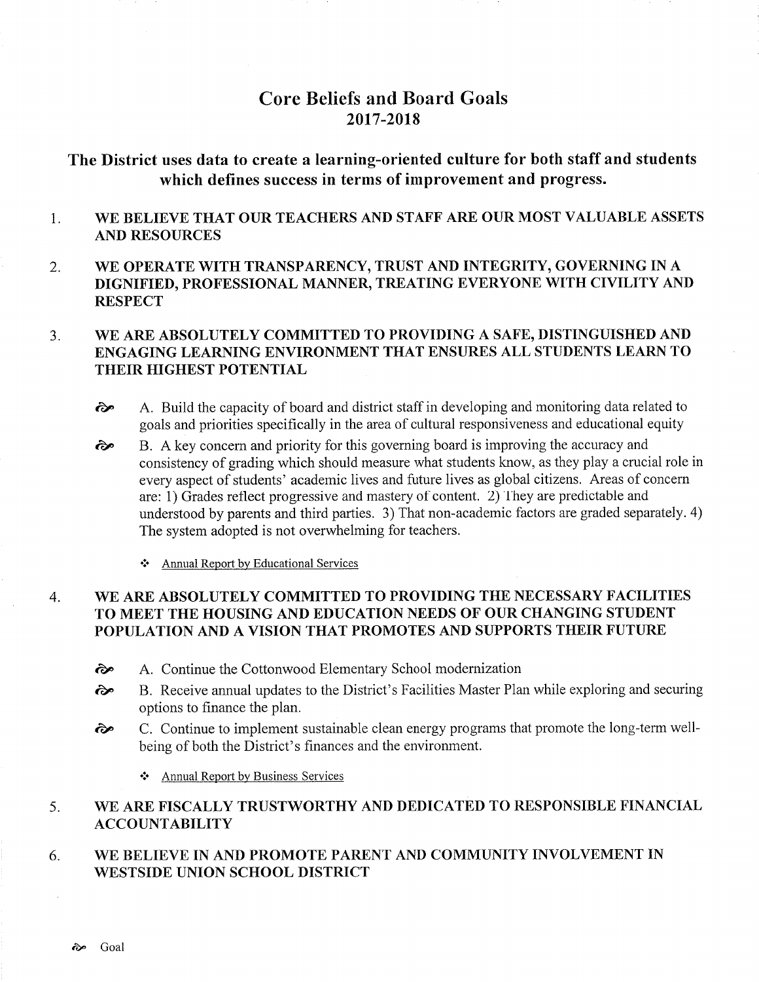# Core Beliefs and Board Goals 2017-2018

# The District uses data to create a learning-oriented culture for both staff and students which defines success in terms of improvement and progress.

#### 1 WE BELIEVE THAT OUR TEACHERS AND STAFF ARE OUR MOST VALUABLE ASSETS AND RESOURCES

2 WE OPERATE WITH TRANSPARENCY, TRUST AND INTEGRITY, GOVERNING IN A DIGNIFIED, PROFESSIONAL MANNER, TREATING EVERYONE WITH CIVILITY AND **RESPECT** 

### WE ARE ABSOLUTELY COMMITTED TO PROVIDING A SAFE, DISTINGUISHED AND ENGAGING LEARNING ENVIRONMENT THAT ENSURES ALL STUDENTS LEARN TO THEIR HIGHEST POTENTIAL 3.

- èp A. Build the capacity of board and district staff in developing and monitoring data related to goals and priorities specifically in the area of cultural responsiveness and educational equity
- B. A key concern and priority for this governing board is improving the accuracy and consistency of grading which should measure what students know, as they play a crucial role in every aspect of students' academic lives and future lives as global citizens. Areas of concern are: 1) Grades reflect progressive and mastery of content. 2) They are predictable and understood by parents and third parties. 3) That non-academic factors are graded separately. 4) The system adopted is not overwhelming for teachers. èp
	- ❖ Annual Report by Educational Services

### WE ARE ABSOLUTELY COMMITTED TO PROVIDING THE NECESSARY FACILITIES TO MEET THE HOUSING AND EDUCATION NEEDS OF OUR CHANGING STUDENT POPULATION AND A VISION THAT PROMOTES AND SUPPORTS THEIR FUTURE 4.

- êp A. Continue the Cottonwood Elementary School modernization
- èe B. Receive annual updates to the District's Facilities Master Plan while exploring and securing options to finance the plan.
- èp C. Continue to implement sustainable clean energy programs that promote the long-term wellbeing of both the District's finances and the environment.
	- $\div$  Annual Report by Business Services

#### WE ARE FISCALLY TRUSTWORTHY AND DEDICATED TO RESPONSIBLE FINANCIAL ACCOUNTABILITY 5

#### WE BELIEVE IN AND PROMOTE PARENT AND COMMUNITY INVOLVEMENT IN \ryESTSIDE UNION SCHOOL DISTRICT 6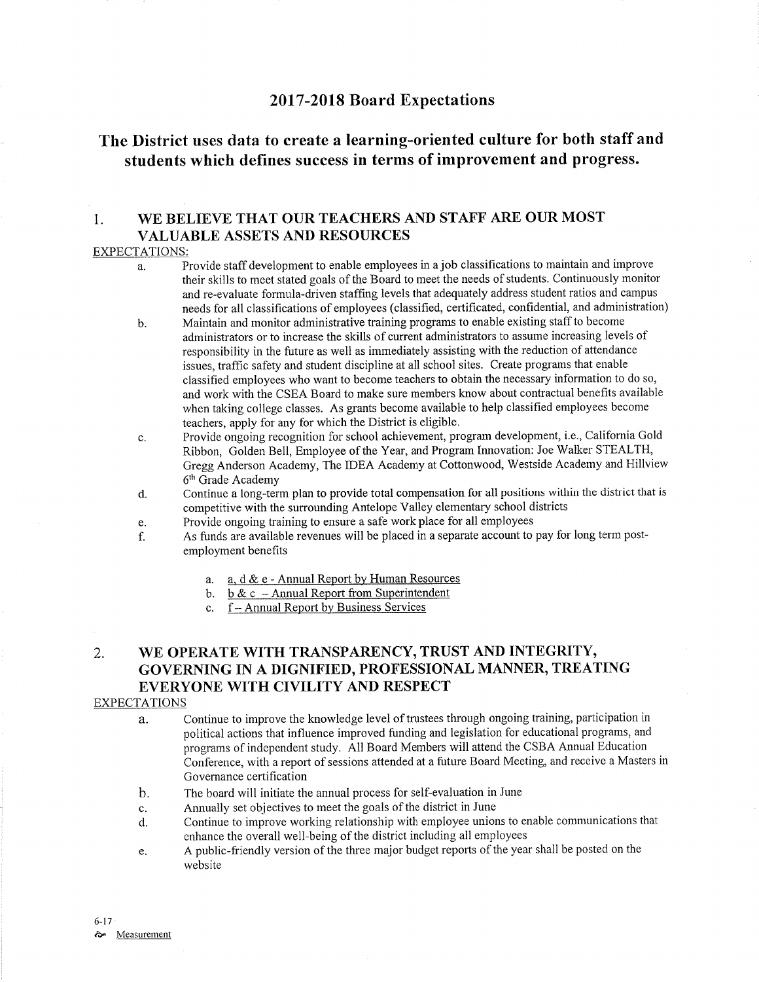## <sup>2017</sup>-2018 Board Expectations

# The District uses data to create a learning-oriented culture for both staff and students which defines success in terms of improvement and progress.

## 1. WE BELIEVE THAT OUR TEACHERS AND STAFF ARE OUR MOST VALUABLE ASSETS AND RESOURCES

## EXPECTATIONS:

- a. Provide staff development to enable employees in a job classifications to maintain and improve their skills to meet stated goals of the Board to meet the needs of students. Continuously monitor and re-evaluate formula-driven staffing levels that adequately address student ratios and campus needs for all classifications of employees (classified, certificated, confidential, and administration)
- b. Maintain and monitor administrative training programs to enable existing staff to become administrators or to increase the skills of current administrators to assume increasing levels of responsibility in the future as well as immediately assisting with the reduction of attendance issues, traffic safety and student discipline at all school sites. Create programs that enable classihed employees who want to become teachers to obtain the necessary information to do so, and work with the CSEA Board to make sure members know about contractual benefits available when taking college classes. As grants become available to help classified employees become teachers, apply for any for which the District is eligible.
- c. Provide ongoing recognition for school achievement, program development, i.e., California Gold Ribbon, Golden Bell, Employee of the Year, and Program lrurovation: Joe Waiker STEALTH, Gregg Anderson Academy, The IDEA Academy at Cottonwood, Westside Academy and Hillview 6'h Grade Academy
- d. Continue a long-term plan to provide total compensation for all positions within the district that is competitive with the surrounding Antelope Valley elementary school districts<br>Provide ongoing training to ensure a safe work place for all employees
- 
- e. Provide ongoing training to ensure a safe work place for all employees<br>f. As funds are available revenues will be placed in a separate account to pay for long term postemployment benefits
	- a. a. d & e Annual Report by Human Resources b. b & c Annual Report from Superintendent
	-
	- c. f Annual Report by Business Services

## 2, WE OPERATE WITH TRANSPARENCY, TRUST AND INTEGRITY, GOVERNING IN A DIGNIFIED, PROFESSIONAL MANNER, TREATING EVERYONE WITH CIVILITY AND RESPECT

## **EXPECTATIONS**

- a. Continue to improve the knowledge level of trustees through ongoing training, participation in political actions that influence improved funding and legislation for educational programs, and programs of independent sfudy. All Board Members will attend the CSBA Annual Education Conference, with a report of sessions attended at a future Board Meeting, and receive a Masters in Governance certification
- The board will initiate the annual process for self-evaluation in June  $\mathbf{b}$ .
- Annually set objectives to meet the goals of the district in June c.
- Continue to improve working relationship with employee unions to enable communications that enhance the overall well-being of the district including all employees d.
- A public-friendly version of the three major budget reports of the year shall be posted on the e. website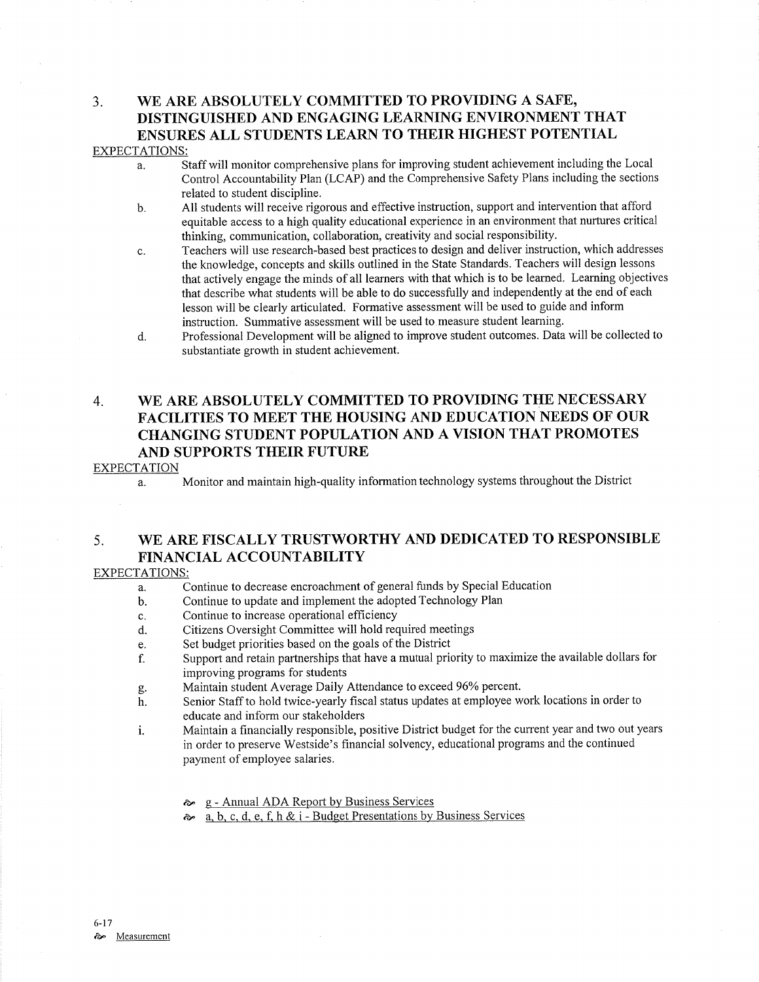## 3. WE ARE ABSOLUTELY COMMITTED TO PROVIDING A SAFE, DISTINGUISHED AND ENGAGING LEARNING ENVIRONMENT THAT ENSURES ALL STUDENTS LEARN TO THEIR HIGHEST POTENTIAL EXPECTATIONS:

- a. Staff will monitor comprehensive plans for improving student achievement including the Local Control Accountabiliry Plan (LCAP) and the Comprehensive Safety Plans including the sections related to sfudent discipline.
- b. All students will receive rigorous and effective instruction, support and intervention that afford equitable access to a high quality educational experience in an environment that nurtures critical thinking, communication, collaboration, creativiry and social responsibility.
- c. Teachers will use research-based best practices to design and deliver instruction, which addresses the knowledge, concepts and skills outlined in the State Standards. Teachers will design lessons that actively engage the minds of all learners with that which is to be learned. Learning objectives that describe what sfudents will be able to do successfully and independently at the end of each lesson will be clearly articulated. Formative assessment will be used to guide and inform instruction. Summative assessment will be used to measure student learning.
- d. Professional Development will be aligned to improve student outcomes. Data will be collected to substantiate growth in student achievement.

## 4. WE ARE ABSOLUTELY COMMITTED TO PROVIDING THE NECESSARY FACILITIES TO MEET THE HOUSING AND EDUCATION NEEDS OF OUR CHANGING STUDENT POPULATION AND A VISION THAT PROMOTES AND SUPPORTS THEIR FUTURE

## EXPECTATION

a. Monitor and maintain high-quality information technology systems throughout the District

## 5. WE ARE FISCALLY TRUSTWORTHY AND DEDICATED TO RESPONSIBLE FINANCIAL ACCOUNTABILITY

## EXPECTATIONS:

- Continue to decrease encroachment of general funds by Special Education a.
- Continue to update and implement the adopted Technology Plan b.
- Continue to increase operational efficiency c.
- Citizens Oversight Committee will hold required meetings d.
- Set budget priorities based on the goals of the District e.
- Support and retain partnerships that have a mutual priority to maximize the available dollars for improving programs for students f.
- Maintain student Average Daily Attendance to exceed 96% percent. ûÞ.
- Senior Staff to hold twice-yearly fiscal status updates at employee work locations in order to educate and inform our stakeholders h.
- Maintain a financially responsible, positive District budget for the current year and two out years in order to preserve Westside's financial solvency, educational programs and the continued payment of employee salaries. i.
	- <sup>g</sup> Annual ADA Report by Business Services èÉ
	- a. b. c. d. e. f. h & i Budget Presentations by Business Services